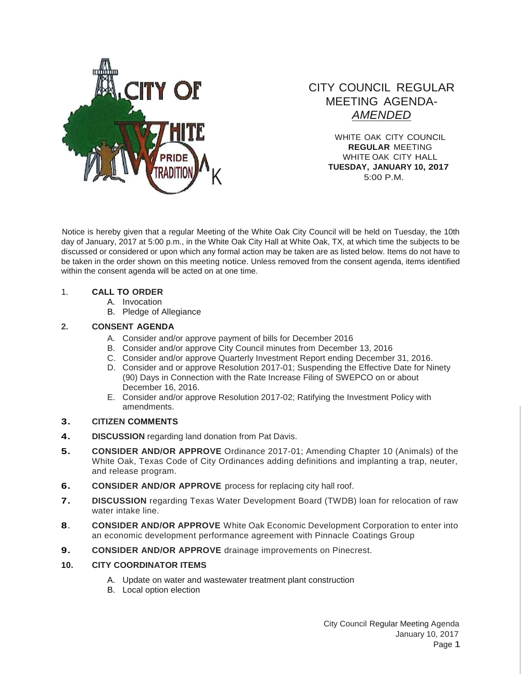

# CITY COUNCIL REGULAR MEETING AGENDA-*AMENDED*

WHITE OAK CITY COUNCIL **REGULAR** MEETING WHITE OAK CITY HALL **TUESDAY, JANUARY 10, 2017** 5:00 P.M.

Notice is hereby given that a regular Meeting of the White Oak City Council will be held on Tuesday, the 10th day of January, 2017 at 5:00 p.m., in the White Oak City Hall at White Oak, TX, at which time the subjects to be discussed or considered or upon which any formal action may be taken are as listed below. Items do not have to be taken in the order shown on this meeting notice. Unless removed from the consent agenda, items identified within the consent agenda will be acted on at one time.

## 1. **CALL TO ORDER**

- A. Invocation
- B. Pledge of Allegiance

## **2. CONSENT AGENDA**

- A. Consider and/or approve payment of bills for December 2016
- B. Consider and/or approve City Council minutes from December 13, 2016
- C. Consider and/or approve Quarterly Investment Report ending December 31, 2016.
- D. Consider and or approve Resolution 2017-01; Suspending the Effective Date for Ninety (90) Days in Connection with the Rate Increase Filing of SWEPCO on or about December 16, 2016.
- E. Consider and/or approve Resolution 2017-02; Ratifying the Investment Policy with amendments.

## **3. CITIZEN COMMENTS**

- **4. DISCUSSION** regarding land donation from Pat Davis.
- **5. CONSIDER AND/OR APPROVE** Ordinance 2017-01; Amending Chapter 10 (Animals) of the White Oak, Texas Code of City Ordinances adding definitions and implanting a trap, neuter, and release program.
- **6. CONSIDER AND/OR APPROVE** process for replacing city hall roof.
- **7. DISCUSSION** regarding Texas Water Development Board (TWDB) loan for relocation of raw water intake line.
- **8**. **CONSIDER AND/OR APPROVE** White Oak Economic Development Corporation to enter into an economic development performance agreement with Pinnacle Coatings Group
- **9. CONSIDER AND/OR APPROVE** drainage improvements on Pinecrest.

## **10. CITY COORDINATOR ITEMS**

- A. Update on water and wastewater treatment plant construction
- B. Local option election